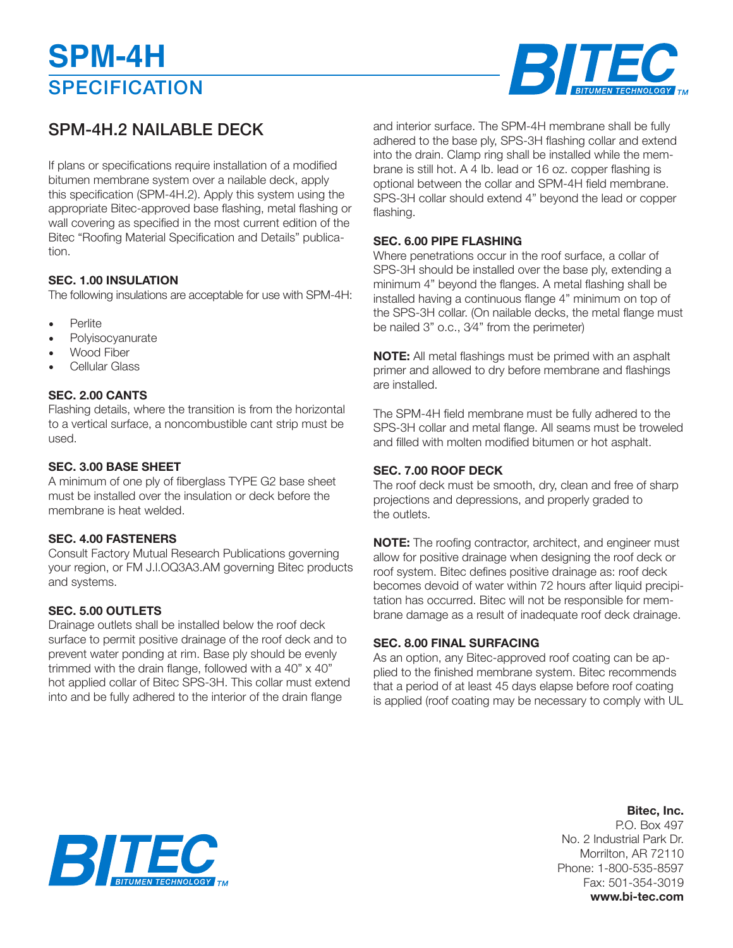# **SPECIFICATION SPM-4H**



### SPM-4H.2 NAILABLE DECK

If plans or specifications require installation of a modified bitumen membrane system over a nailable deck, apply this specification (SPM-4H.2). Apply this system using the appropriate Bitec-approved base flashing, metal flashing or wall covering as specified in the most current edition of the Bitec "Roofing Material Specification and Details" publication.

#### **SEC. 1.00 INSULATION**

The following insulations are acceptable for use with SPM-4H:

- Perlite
- **Polvisocvanurate**
- Wood Fiber
- Cellular Glass

#### **SEC. 2.00 CANTS**

Flashing details, where the transition is from the horizontal to a vertical surface, a noncombustible cant strip must be used.

#### **SEC. 3.00 BASE SHEET**

A minimum of one ply of fiberglass TYPE G2 base sheet must be installed over the insulation or deck before the membrane is heat welded.

#### **SEC. 4.00 FASTENERS**

Consult Factory Mutual Research Publications governing your region, or FM J.l.OQ3A3.AM governing Bitec products and systems.

#### **SEC. 5.00 OUTLETS**

Drainage outlets shall be installed below the roof deck surface to permit positive drainage of the roof deck and to prevent water ponding at rim. Base ply should be evenly trimmed with the drain flange, followed with a 40"  $\times$  40" hot applied collar of Bitec SPS-3H. This collar must extend into and be fully adhered to the interior of the drain flange

and interior surface. The SPM-4H membrane shall be fully adhered to the base ply, SPS-3H flashing collar and extend into the drain. Clamp ring shall be installed while the membrane is still hot. A 4 Ib. lead or 16 oz. copper flashing is optional between the collar and SPM-4H field membrane. SPS-3H collar should extend 4" beyond the lead or copper flashing.

#### **SEC. 6.00 PIPE FLASHING**

Where penetrations occur in the roof surface, a collar of SPS-3H should be installed over the base ply, extending a minimum 4" beyond the flanges. A metal flashing shall be installed having a continuous flange 4" minimum on top of the SPS-3H collar. (On nailable decks, the metal flange must be nailed 3" o.c., 3⁄4" from the perimeter)

**NOTE:** All metal flashings must be primed with an asphalt primer and allowed to dry before membrane and flashings are installed.

The SPM-4H field membrane must be fully adhered to the SPS-3H collar and metal flange. All seams must be troweled and filled with molten modified bitumen or hot asphalt.

#### **SEC. 7.00 ROOF DECK**

The roof deck must be smooth, dry, clean and free of sharp projections and depressions, and properly graded to the outlets.

**NOTE:** The roofing contractor, architect, and engineer must allow for positive drainage when designing the roof deck or roof system. Bitec defines positive drainage as: roof deck becomes devoid of water within 72 hours after liquid precipitation has occurred. Bitec will not be responsible for membrane damage as a result of inadequate roof deck drainage.

#### **SEC. 8.00 FINAL SURFACING**

As an option, any Bitec-approved roof coating can be applied to the finished membrane system. Bitec recommends that a period of at least 45 days elapse before roof coating is applied (roof coating may be necessary to comply with UL

### **Bitec, Inc.**

P.O. Box 497 No. 2 Industrial Park Dr. Morrilton, AR 72110 Phone: 1-800-535-8597 Fax: 501-354-3019 **www.bi-tec.com**